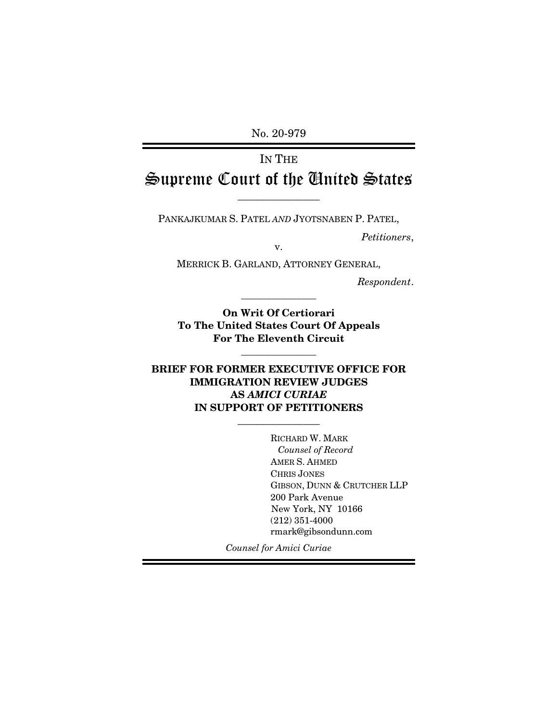No. 20-979

# IN THE Supreme Court of the United States

\_\_\_\_\_\_\_\_\_\_\_\_\_\_\_

PANKAJKUMAR S. PATEL *AND* JYOTSNABEN P. PATEL,

*Petitioners*, v.

MERRICK B. GARLAND, ATTORNEY GENERAL,

*Respondent*.

**On Writ Of Certiorari To The United States Court Of Appeals For The Eleventh Circuit** 

\_\_\_\_\_\_\_\_\_\_\_\_\_\_\_

\_\_\_\_\_\_\_\_\_\_\_\_\_\_\_

# **BRIEF FOR FORMER EXECUTIVE OFFICE FOR IMMIGRATION REVIEW JUDGES AS** *AMICI CURIAE* **IN SUPPORT OF PETITIONERS**

\_\_\_\_\_\_\_\_\_\_\_\_\_\_\_

RICHARD W. MARK *Counsel of Record* AMER S. AHMED CHRIS JONES GIBSON, DUNN & CRUTCHER LLP 200 Park Avenue New York, NY 10166 (212) 351-4000 rmark@gibsondunn.com

*Counsel for Amici Curiae*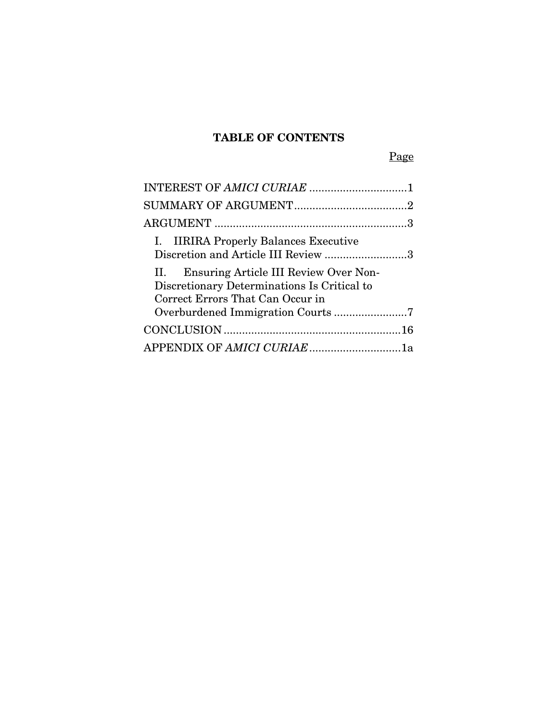# **TABLE OF CONTENTS**

Page

| I. IIRIRA Properly Balances Executive<br>Discretion and Article III Review 3                                                    |
|---------------------------------------------------------------------------------------------------------------------------------|
| Ensuring Article III Review Over Non-<br>11.<br>Discretionary Determinations Is Critical to<br>Correct Errors That Can Occur in |
|                                                                                                                                 |
|                                                                                                                                 |
| APPENDIX OF AMICI CURIAE1a                                                                                                      |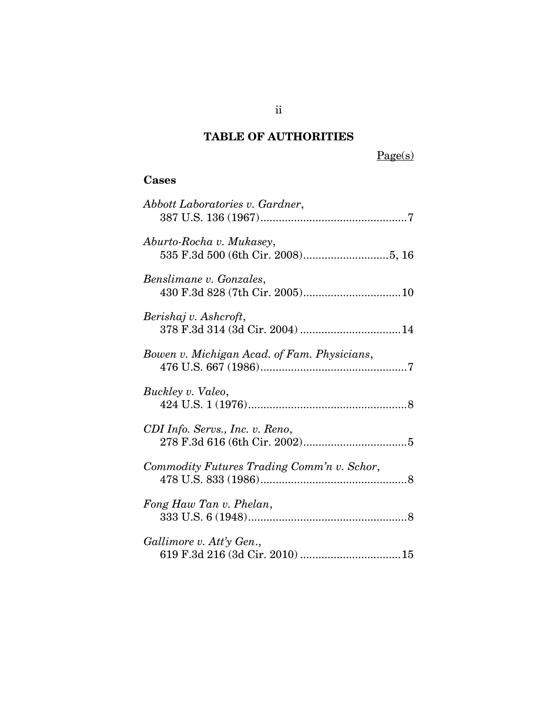# **TABLE OF AUTHORITIES**

Page(s)

# **Cases**

| Abbott Laboratories v. Gardner,             |
|---------------------------------------------|
| Aburto-Rocha v. Mukasey,                    |
| Benslimane v. Gonzales,                     |
| Berishaj v. Ashcroft,                       |
| Bowen v. Michigan Acad. of Fam. Physicians, |
| Buckley v. Valeo,                           |
| CDI Info. Servs., Inc. v. Reno,             |
| Commodity Futures Trading Comm'n v. Schor,  |
| Fong Haw Tan v. Phelan,                     |
| Gallimore v. Att'y Gen.,                    |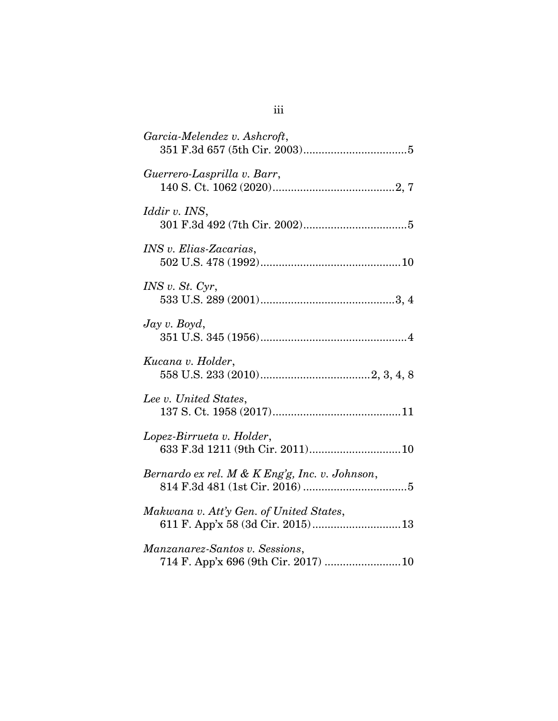| Garcia-Melendez v. Ashcroft,                                                |
|-----------------------------------------------------------------------------|
| Guerrero-Lasprilla v. Barr,                                                 |
| <i>Iddir v. INS,</i>                                                        |
| INS v. Elias-Zacarias,                                                      |
| INS v. St. Cyr,                                                             |
| $\log v$ . Boyd,                                                            |
| Kucana v. Holder,                                                           |
| Lee v. United States,                                                       |
| Lopez-Birrueta v. Holder,                                                   |
| Bernardo ex rel. M & K Eng'g, Inc. v. Johnson,                              |
| Makwana v. Att'y Gen. of United States,<br>611 F. App'x 58 (3d Cir. 2015)13 |
| Manzanarez-Santos v. Sessions,                                              |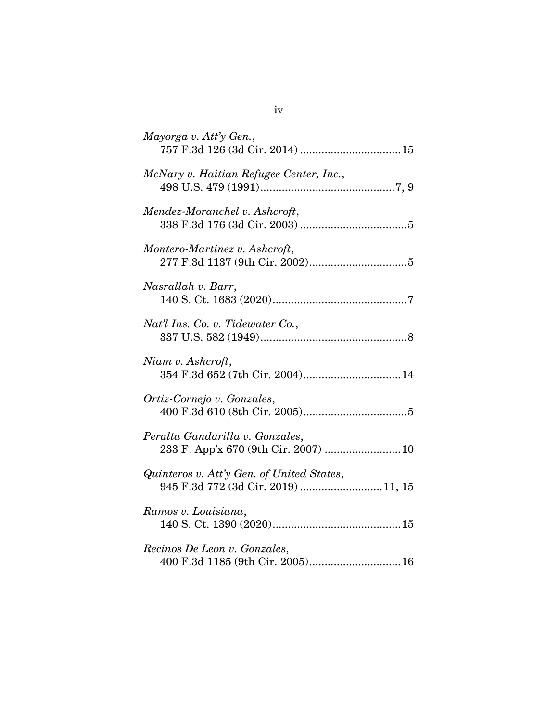| Mayorga v. Att'y Gen.,                                                           |
|----------------------------------------------------------------------------------|
| McNary v. Haitian Refugee Center, Inc.,                                          |
| Mendez-Moranchel v. Ashcroft,                                                    |
| Montero-Martinez v. Ashcroft,                                                    |
| Nasrallah v. Barr,                                                               |
| Nat'l Ins. Co. v. Tidewater Co.,                                                 |
| Niam v. Ashcroft,<br>354 F.3d 652 (7th Cir. 2004)14                              |
| Ortiz-Cornejo v. Gonzales,                                                       |
| Peralta Gandarilla v. Gonzales,<br>233 F. App'x 670 (9th Cir. 2007)  10          |
| Quinteros v. Att'y Gen. of United States,<br>945 F.3d 772 (3d Cir. 2019)  11, 15 |
| Ramos v. Louisiana,                                                              |
| Recinos De Leon v. Gonzales,<br>400 F.3d 1185 (9th Cir. 2005) 16                 |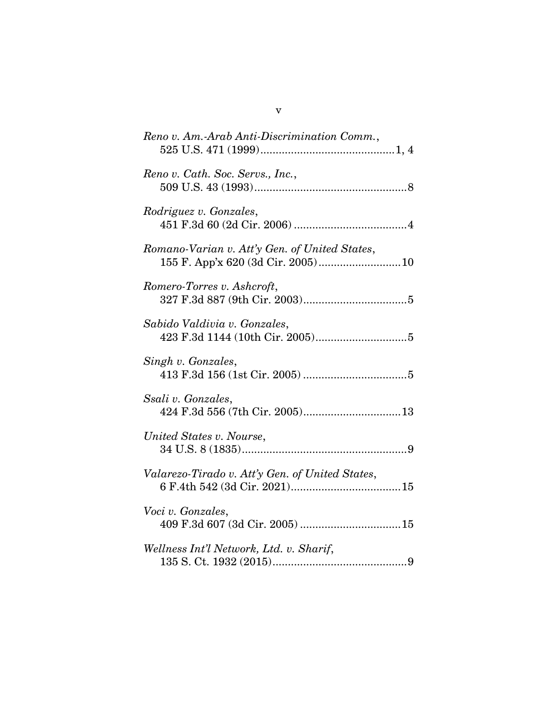| Reno v. Am.-Arab Anti-Discrimination Comm.,     |
|-------------------------------------------------|
| Reno v. Cath. Soc. Servs., Inc.,                |
| Rodriguez v. Gonzales,                          |
| Romano-Varian v. Att'y Gen. of United States,   |
| Romero-Torres v. Ashcroft,                      |
| Sabido Valdivia v. Gonzales,                    |
| Singh v. Gonzales,                              |
| Ssali v. Gonzales,                              |
| United States v. Nourse,                        |
| Valarezo-Tirado v. Att'y Gen. of United States, |
| Voci v. Gonzales,                               |
| Wellness Int'l Network, Ltd. v. Sharif,         |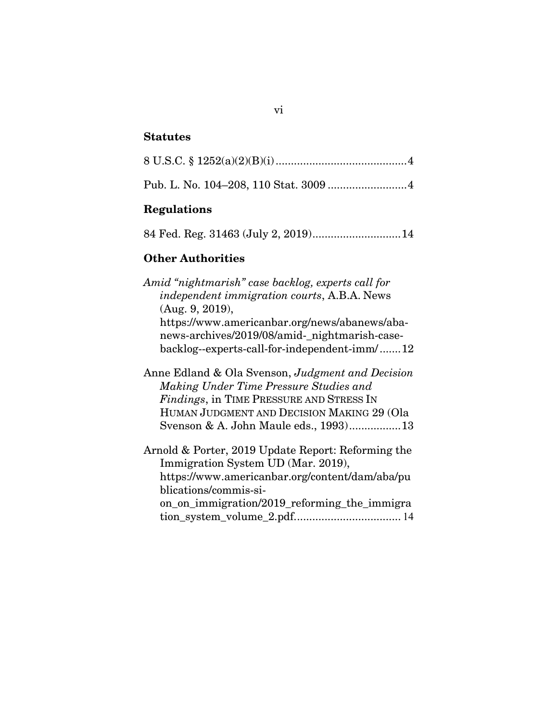#### **Statutes**

# **Regulations**

84 Fed. Reg. 31463 (July 2, 2019) ............................. 14

### **Other Authorities**

*Amid "nightmarish" case backlog, experts call for independent immigration courts*, A.B.A. News (Aug. 9, 2019), https://www.americanbar.org/news/abanews/abanews-archives/2019/08/amid-\_nightmarish-casebacklog--experts-call-for-independent-imm/ ....... 12 Anne Edland & Ola Svenson, *Judgment and Decision Making Under Time Pressure Studies and Findings*, in TIME PRESSURE AND STRESS IN HUMAN JUDGMENT AND DECISION MAKING 29 (Ola Svenson & A. John Maule eds., 1993) ................. 13 Arnold & Porter, 2019 Update Report: Reforming the Immigration System UD (Mar. 2019),

https://www.americanbar.org/content/dam/aba/pu blications/commis-sion\_on\_immigration/2019\_reforming\_the\_immigra

tion\_system\_volume\_2.pdf. .................................. 14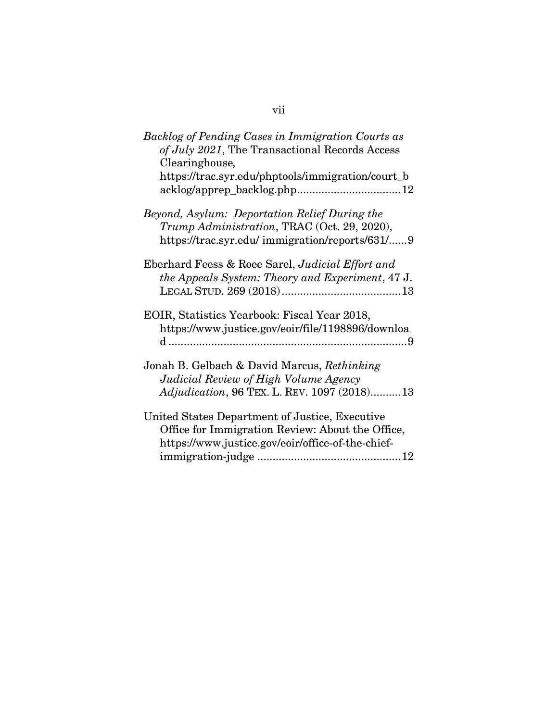| Backlog of Pending Cases in Immigration Courts as<br>of July 2021, The Transactional Records Access<br>Clearinghouse,                           |
|-------------------------------------------------------------------------------------------------------------------------------------------------|
| https://trac.syr.edu/phptools/immigration/court_b                                                                                               |
| Beyond, Asylum: Deportation Relief During the<br>Trump Administration, TRAC (Oct. 29, 2020),<br>https://trac.syr.edu/ immigration/reports/631/9 |
| Eberhard Feess & Roee Sarel, Judicial Effort and<br>the Appeals System: Theory and Experiment, 47 J.                                            |
| EOIR, Statistics Yearbook: Fiscal Year 2018,<br>https://www.justice.gov/eoir/file/1198896/downloa                                               |
| Jonah B. Gelbach & David Marcus, Rethinking                                                                                                     |
| Judicial Review of High Volume Agency                                                                                                           |
| Adjudication, 96 TEX. L. REV. 1097 (2018) 13                                                                                                    |
| United States Department of Justice, Executive                                                                                                  |
| Office for Immigration Review: About the Office,                                                                                                |
| https://www.justice.gov/eoir/office-of-the-chief-                                                                                               |
|                                                                                                                                                 |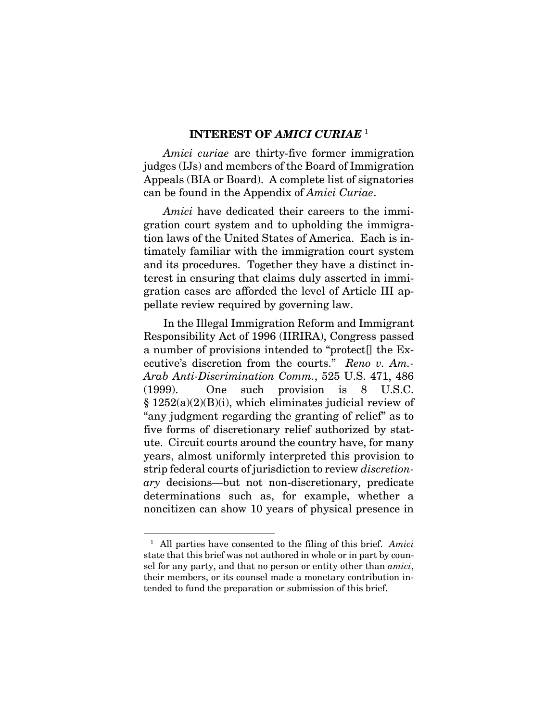#### **INTEREST OF** *AMICI CURIAE* <sup>1</sup>

*Amici curiae* are thirty-five former immigration judges (IJs) and members of the Board of Immigration Appeals (BIA or Board). A complete list of signatories can be found in the Appendix of *Amici Curiae*.

*Amici* have dedicated their careers to the immigration court system and to upholding the immigration laws of the United States of America. Each is intimately familiar with the immigration court system and its procedures. Together they have a distinct interest in ensuring that claims duly asserted in immigration cases are afforded the level of Article III appellate review required by governing law.

In the Illegal Immigration Reform and Immigrant Responsibility Act of 1996 (IIRIRA), Congress passed a number of provisions intended to "protect[] the Executive's discretion from the courts." *Reno v. Am.- Arab Anti-Discrimination Comm.*, 525 U.S. 471, 486 (1999). One such provision is 8 U.S.C. § 1252(a)(2)(B)(i), which eliminates judicial review of "any judgment regarding the granting of relief" as to five forms of discretionary relief authorized by statute. Circuit courts around the country have, for many years, almost uniformly interpreted this provision to strip federal courts of jurisdiction to review *discretionary* decisions—but not non-discretionary, predicate determinations such as, for example, whether a noncitizen can show 10 years of physical presence in

<sup>1</sup> All parties have consented to the filing of this brief. *Amici* state that this brief was not authored in whole or in part by counsel for any party, and that no person or entity other than *amici*, their members, or its counsel made a monetary contribution intended to fund the preparation or submission of this brief.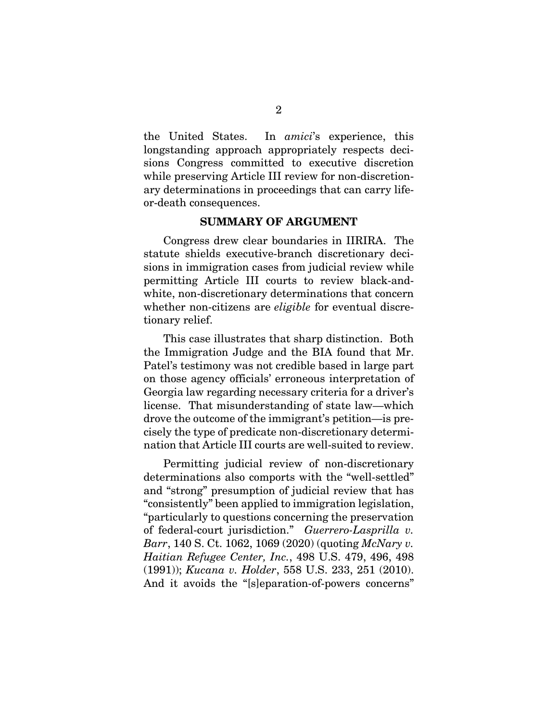the United States. In *amici*'s experience, this longstanding approach appropriately respects decisions Congress committed to executive discretion while preserving Article III review for non-discretionary determinations in proceedings that can carry lifeor-death consequences.

### **SUMMARY OF ARGUMENT**

Congress drew clear boundaries in IIRIRA. The statute shields executive-branch discretionary decisions in immigration cases from judicial review while permitting Article III courts to review black-andwhite, non-discretionary determinations that concern whether non-citizens are *eligible* for eventual discretionary relief.

This case illustrates that sharp distinction. Both the Immigration Judge and the BIA found that Mr. Patel's testimony was not credible based in large part on those agency officials' erroneous interpretation of Georgia law regarding necessary criteria for a driver's license. That misunderstanding of state law—which drove the outcome of the immigrant's petition—is precisely the type of predicate non-discretionary determination that Article III courts are well-suited to review.

Permitting judicial review of non-discretionary determinations also comports with the "well-settled" and "strong" presumption of judicial review that has "consistently" been applied to immigration legislation, "particularly to questions concerning the preservation of federal-court jurisdiction." *Guerrero-Lasprilla v. Barr*, 140 S. Ct. 1062, 1069 (2020) (quoting *McNary v. Haitian Refugee Center, Inc.*, 498 U.S. 479, 496, 498 (1991)); *Kucana v. Holder*, 558 U.S. 233, 251 (2010). And it avoids the "[s]eparation-of-powers concerns"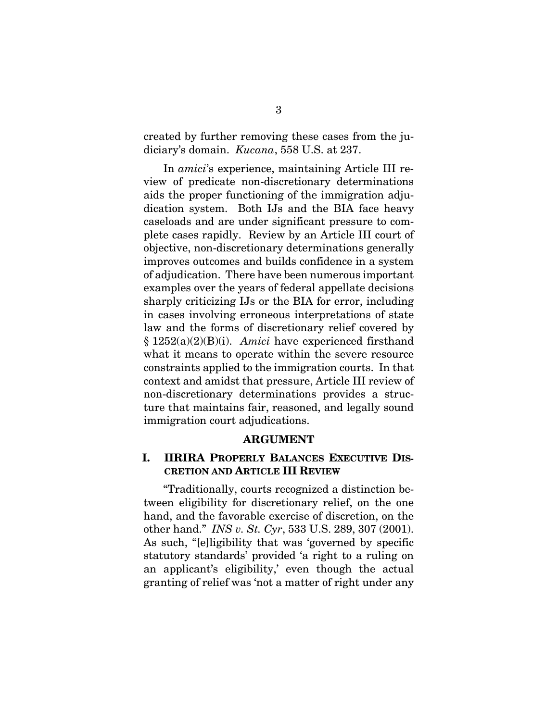created by further removing these cases from the judiciary's domain. *Kucana*, 558 U.S. at 237.

In *amici*'s experience, maintaining Article III review of predicate non-discretionary determinations aids the proper functioning of the immigration adjudication system. Both IJs and the BIA face heavy caseloads and are under significant pressure to complete cases rapidly. Review by an Article III court of objective, non-discretionary determinations generally improves outcomes and builds confidence in a system of adjudication. There have been numerous important examples over the years of federal appellate decisions sharply criticizing IJs or the BIA for error, including in cases involving erroneous interpretations of state law and the forms of discretionary relief covered by § 1252(a)(2)(B)(i). *Amici* have experienced firsthand what it means to operate within the severe resource constraints applied to the immigration courts. In that context and amidst that pressure, Article III review of non-discretionary determinations provides a structure that maintains fair, reasoned, and legally sound immigration court adjudications.

#### **ARGUMENT**

# **I. IIRIRA PROPERLY BALANCES EXECUTIVE DIS-CRETION AND ARTICLE III REVIEW**

 "Traditionally, courts recognized a distinction between eligibility for discretionary relief, on the one hand, and the favorable exercise of discretion, on the other hand." *INS v. St. Cyr*, 533 U.S. 289, 307 (2001). As such, "[e]ligibility that was 'governed by specific statutory standards' provided 'a right to a ruling on an applicant's eligibility,' even though the actual granting of relief was 'not a matter of right under any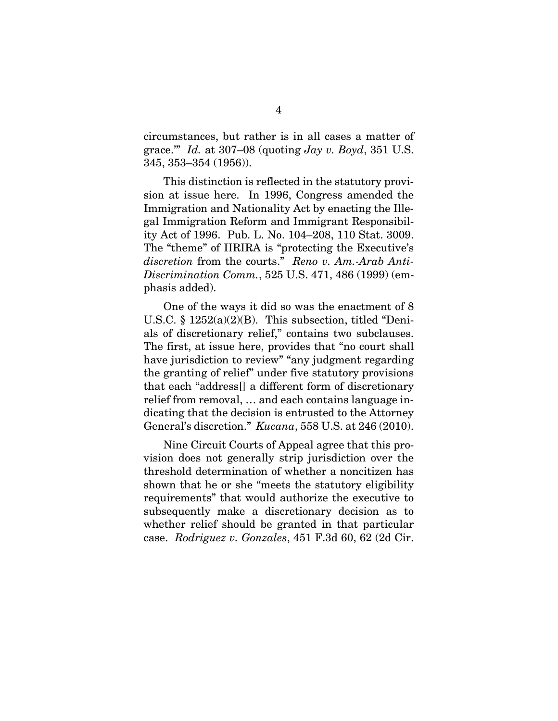circumstances, but rather is in all cases a matter of grace.'" *Id.* at 307–08 (quoting *Jay v. Boyd*, 351 U.S. 345, 353–354 (1956)).

 This distinction is reflected in the statutory provision at issue here. In 1996, Congress amended the Immigration and Nationality Act by enacting the Illegal Immigration Reform and Immigrant Responsibility Act of 1996. Pub. L. No. 104–208, 110 Stat. 3009. The "theme" of IIRIRA is "protecting the Executive's *discretion* from the courts." *Reno v. Am.-Arab Anti-Discrimination Comm.*, 525 U.S. 471, 486 (1999) (emphasis added).

 One of the ways it did so was the enactment of 8 U.S.C. § 1252(a)(2)(B). This subsection, titled "Denials of discretionary relief," contains two subclauses. The first, at issue here, provides that "no court shall have jurisdiction to review" "any judgment regarding the granting of relief" under five statutory provisions that each "address[] a different form of discretionary relief from removal, … and each contains language indicating that the decision is entrusted to the Attorney General's discretion." *Kucana*, 558 U.S. at 246 (2010).

 Nine Circuit Courts of Appeal agree that this provision does not generally strip jurisdiction over the threshold determination of whether a noncitizen has shown that he or she "meets the statutory eligibility requirements" that would authorize the executive to subsequently make a discretionary decision as to whether relief should be granted in that particular case. *Rodriguez v. Gonzales*, 451 F.3d 60, 62 (2d Cir.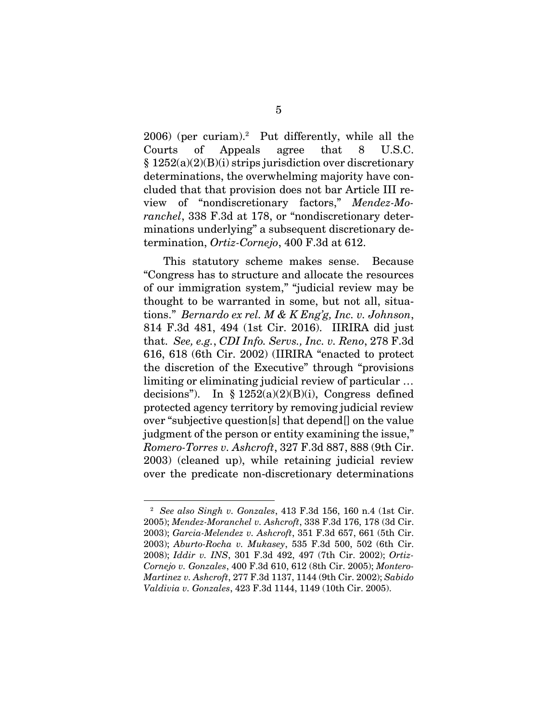$2006$ ) (per curiam).<sup>2</sup> Put differently, while all the Courts of Appeals agree that 8 U.S.C.  $§ 1252(a)(2)(B)(i)$  strips jurisdiction over discretionary determinations, the overwhelming majority have concluded that that provision does not bar Article III review of "nondiscretionary factors," *Mendez-Moranchel*, 338 F.3d at 178, or "nondiscretionary determinations underlying" a subsequent discretionary determination, *Ortiz-Cornejo*, 400 F.3d at 612.

 This statutory scheme makes sense. Because "Congress has to structure and allocate the resources of our immigration system," "judicial review may be thought to be warranted in some, but not all, situations." *Bernardo ex rel. M & K Eng'g, Inc. v. Johnson*, 814 F.3d 481, 494 (1st Cir. 2016). IIRIRA did just that. *See, e.g.*, *CDI Info. Servs., Inc. v. Reno*, 278 F.3d 616, 618 (6th Cir. 2002) (IIRIRA "enacted to protect the discretion of the Executive" through "provisions limiting or eliminating judicial review of particular … decisions"). In §  $1252(a)(2)(B)(i)$ , Congress defined protected agency territory by removing judicial review over "subjective question[s] that depend[] on the value judgment of the person or entity examining the issue," *Romero-Torres v. Ashcroft*, 327 F.3d 887, 888 (9th Cir. 2003) (cleaned up), while retaining judicial review over the predicate non-discretionary determinations

<sup>2</sup> *See also Singh v. Gonzales*, 413 F.3d 156, 160 n.4 (1st Cir. 2005); *Mendez-Moranchel v. Ashcroft*, 338 F.3d 176, 178 (3d Cir. 2003); *Garcia-Melendez v. Ashcroft*, 351 F.3d 657, 661 (5th Cir. 2003); *Aburto-Rocha v. Mukasey*, 535 F.3d 500, 502 (6th Cir. 2008); *Iddir v. INS*, 301 F.3d 492, 497 (7th Cir. 2002); *Ortiz-Cornejo v. Gonzales*, 400 F.3d 610, 612 (8th Cir. 2005); *Montero-Martinez v. Ashcroft*, 277 F.3d 1137, 1144 (9th Cir. 2002); *Sabido Valdivia v. Gonzales*, 423 F.3d 1144, 1149 (10th Cir. 2005).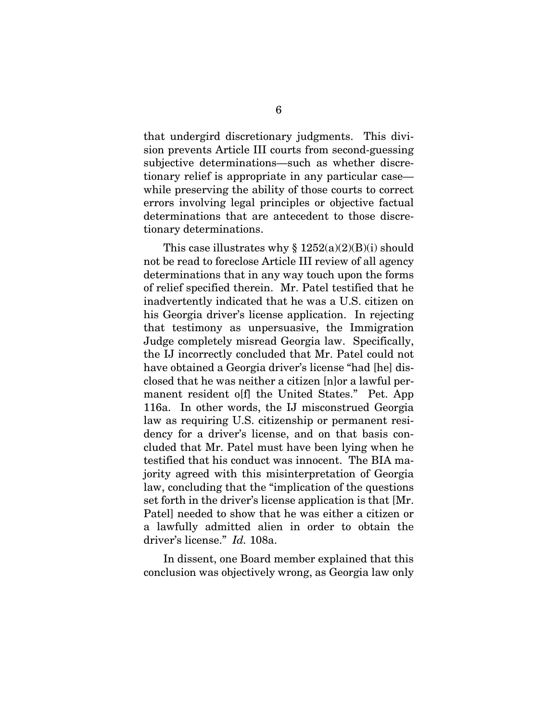that undergird discretionary judgments. This division prevents Article III courts from second-guessing subjective determinations—such as whether discretionary relief is appropriate in any particular case while preserving the ability of those courts to correct errors involving legal principles or objective factual determinations that are antecedent to those discretionary determinations.

This case illustrates why  $\S 1252(a)(2)(B)(i)$  should not be read to foreclose Article III review of all agency determinations that in any way touch upon the forms of relief specified therein. Mr. Patel testified that he inadvertently indicated that he was a U.S. citizen on his Georgia driver's license application. In rejecting that testimony as unpersuasive, the Immigration Judge completely misread Georgia law. Specifically, the IJ incorrectly concluded that Mr. Patel could not have obtained a Georgia driver's license "had [he] disclosed that he was neither a citizen [n]or a lawful permanent resident o[f] the United States." Pet. App 116a. In other words, the IJ misconstrued Georgia law as requiring U.S. citizenship or permanent residency for a driver's license, and on that basis concluded that Mr. Patel must have been lying when he testified that his conduct was innocent. The BIA majority agreed with this misinterpretation of Georgia law, concluding that the "implication of the questions set forth in the driver's license application is that [Mr. Patel] needed to show that he was either a citizen or a lawfully admitted alien in order to obtain the driver's license." *Id.* 108a.

 In dissent, one Board member explained that this conclusion was objectively wrong, as Georgia law only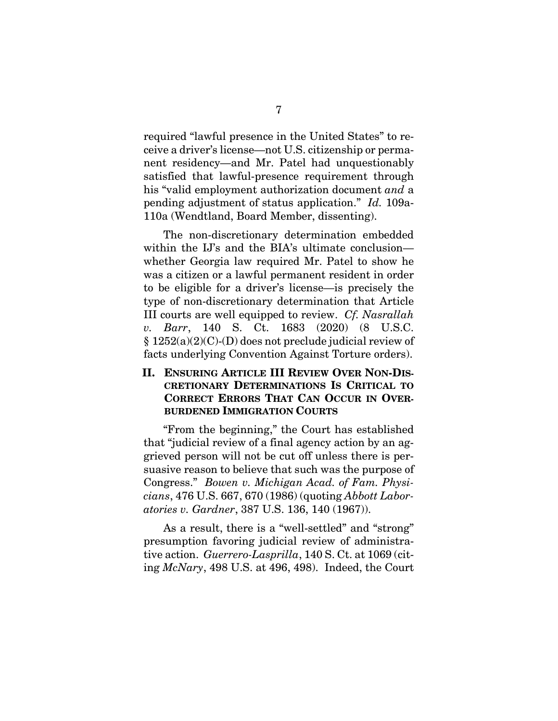required "lawful presence in the United States" to receive a driver's license—not U.S. citizenship or permanent residency—and Mr. Patel had unquestionably satisfied that lawful-presence requirement through his "valid employment authorization document *and* a pending adjustment of status application." *Id.* 109a-110a (Wendtland, Board Member, dissenting).

 The non-discretionary determination embedded within the IJ's and the BIA's ultimate conclusion whether Georgia law required Mr. Patel to show he was a citizen or a lawful permanent resident in order to be eligible for a driver's license—is precisely the type of non-discretionary determination that Article III courts are well equipped to review. *Cf. Nasrallah v. Barr*, 140 S. Ct. 1683 (2020) (8 U.S.C. § 1252(a)(2)(C)-(D) does not preclude judicial review of facts underlying Convention Against Torture orders).

# **II. ENSURING ARTICLE III REVIEW OVER NON-DIS-CRETIONARY DETERMINATIONS IS CRITICAL TO CORRECT ERRORS THAT CAN OCCUR IN OVER-BURDENED IMMIGRATION COURTS**

"From the beginning," the Court has established that "judicial review of a final agency action by an aggrieved person will not be cut off unless there is persuasive reason to believe that such was the purpose of Congress." *Bowen v. Michigan Acad. of Fam. Physicians*, 476 U.S. 667, 670 (1986) (quoting *Abbott Laboratories v. Gardner*, 387 U.S. 136, 140 (1967)).

As a result, there is a "well-settled" and "strong" presumption favoring judicial review of administrative action. *Guerrero-Lasprilla*, 140 S. Ct. at 1069 (citing *McNary*, 498 U.S. at 496, 498). Indeed, the Court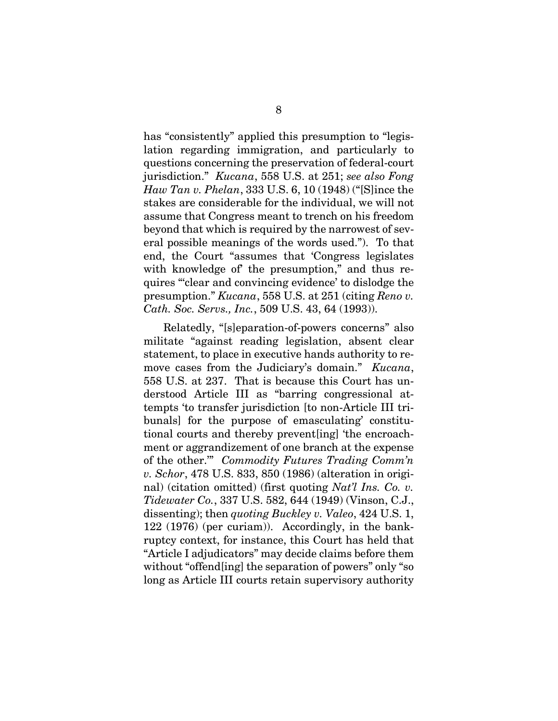has "consistently" applied this presumption to "legislation regarding immigration, and particularly to questions concerning the preservation of federal-court jurisdiction." *Kucana*, 558 U.S. at 251; *see also Fong Haw Tan v. Phelan*, 333 U.S. 6, 10 (1948) ("[S]ince the stakes are considerable for the individual, we will not assume that Congress meant to trench on his freedom beyond that which is required by the narrowest of several possible meanings of the words used."). To that end, the Court "assumes that 'Congress legislates with knowledge of the presumption," and thus requires "'clear and convincing evidence' to dislodge the presumption." *Kucana*, 558 U.S. at 251 (citing *Reno v. Cath. Soc. Servs., Inc.*, 509 U.S. 43, 64 (1993)).

Relatedly, "[s]eparation-of-powers concerns" also militate "against reading legislation, absent clear statement, to place in executive hands authority to remove cases from the Judiciary's domain." *Kucana*, 558 U.S. at 237. That is because this Court has understood Article III as "barring congressional attempts 'to transfer jurisdiction [to non-Article III tribunals] for the purpose of emasculating' constitutional courts and thereby prevent[ing] 'the encroachment or aggrandizement of one branch at the expense of the other.'" *Commodity Futures Trading Comm'n v. Schor*, 478 U.S. 833, 850 (1986) (alteration in original) (citation omitted) (first quoting *Nat'l Ins. Co. v. Tidewater Co.*, 337 U.S. 582, 644 (1949) (Vinson, C.J., dissenting); then *quoting Buckley v. Valeo*, 424 U.S. 1, 122 (1976) (per curiam)). Accordingly, in the bankruptcy context, for instance, this Court has held that "Article I adjudicators" may decide claims before them without "offend[ing] the separation of powers" only "so long as Article III courts retain supervisory authority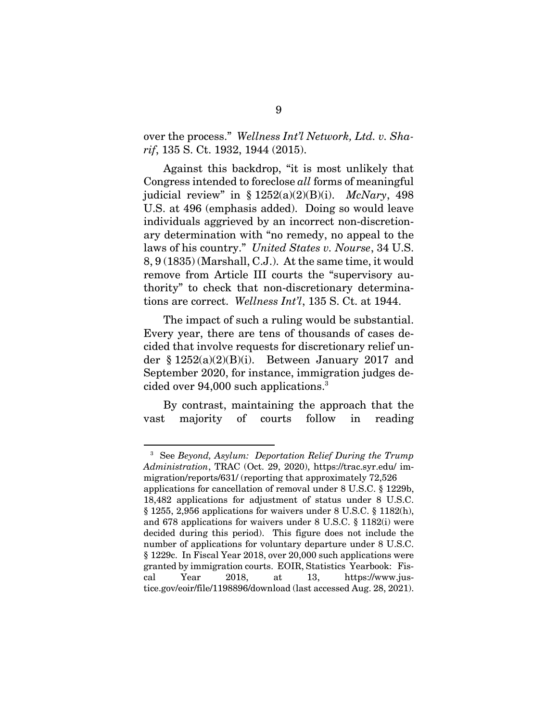over the process." *Wellness Int'l Network, Ltd. v. Sharif*, 135 S. Ct. 1932, 1944 (2015).

Against this backdrop, "it is most unlikely that Congress intended to foreclose *all* forms of meaningful judicial review" in § 1252(a)(2)(B)(i). *McNary*, 498 U.S. at 496 (emphasis added). Doing so would leave individuals aggrieved by an incorrect non-discretionary determination with "no remedy, no appeal to the laws of his country." *United States v. Nourse*, 34 U.S. 8, 9 (1835) (Marshall, C.J.). At the same time, it would remove from Article III courts the "supervisory authority" to check that non-discretionary determinations are correct. *Wellness Int'l*, 135 S. Ct. at 1944.

The impact of such a ruling would be substantial. Every year, there are tens of thousands of cases decided that involve requests for discretionary relief under §  $1252(a)(2)(B)(i)$ . Between January 2017 and September 2020, for instance, immigration judges decided over 94,000 such applications.3

By contrast, maintaining the approach that the vast majority of courts follow in reading

<sup>3</sup> See *Beyond, Asylum: Deportation Relief During the Trump Administration*, TRAC (Oct. 29, 2020), https://trac.syr.edu/ immigration/reports/631/ (reporting that approximately 72,526

applications for cancellation of removal under 8 U.S.C. § 1229b, 18,482 applications for adjustment of status under 8 U.S.C. § 1255, 2,956 applications for waivers under 8 U.S.C. § 1182(h), and 678 applications for waivers under 8 U.S.C. § 1182(i) were decided during this period). This figure does not include the number of applications for voluntary departure under 8 U.S.C. § 1229c. In Fiscal Year 2018, over 20,000 such applications were granted by immigration courts. EOIR, Statistics Yearbook: Fiscal Year 2018, at 13, https://www.justice.gov/eoir/file/1198896/download (last accessed Aug. 28, 2021).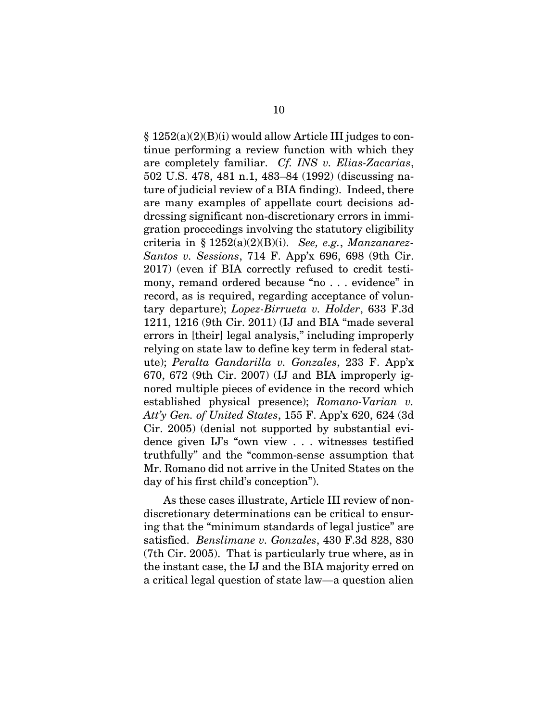§ 1252(a)(2)(B)(i) would allow Article III judges to continue performing a review function with which they are completely familiar. *Cf. INS v. Elias-Zacarias*, 502 U.S. 478, 481 n.1, 483–84 (1992) (discussing nature of judicial review of a BIA finding). Indeed, there are many examples of appellate court decisions addressing significant non-discretionary errors in immigration proceedings involving the statutory eligibility criteria in § 1252(a)(2)(B)(i). *See, e.g.*, *Manzanarez-Santos v. Sessions*, 714 F. App'x 696, 698 (9th Cir. 2017) (even if BIA correctly refused to credit testimony, remand ordered because "no . . . evidence" in record, as is required, regarding acceptance of voluntary departure); *Lopez-Birrueta v. Holder*, 633 F.3d 1211, 1216 (9th Cir. 2011) (IJ and BIA "made several errors in [their] legal analysis," including improperly relying on state law to define key term in federal statute); *Peralta Gandarilla v. Gonzales*, 233 F. App'x 670, 672 (9th Cir. 2007) (IJ and BIA improperly ignored multiple pieces of evidence in the record which established physical presence); *Romano-Varian v. Att'y Gen. of United States*, 155 F. App'x 620, 624 (3d Cir. 2005) (denial not supported by substantial evidence given IJ's "own view . . . witnesses testified truthfully" and the "common-sense assumption that Mr. Romano did not arrive in the United States on the day of his first child's conception").

As these cases illustrate, Article III review of nondiscretionary determinations can be critical to ensuring that the "minimum standards of legal justice" are satisfied. *Benslimane v. Gonzales*, 430 F.3d 828, 830 (7th Cir. 2005). That is particularly true where, as in the instant case, the IJ and the BIA majority erred on a critical legal question of state law—a question alien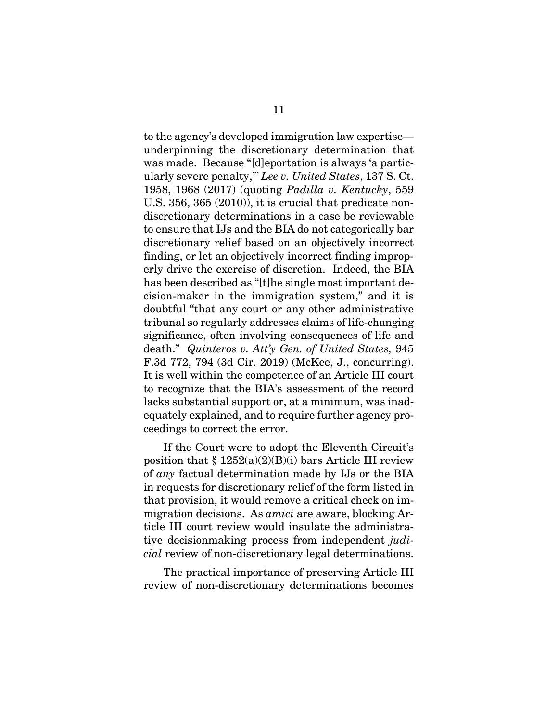to the agency's developed immigration law expertise underpinning the discretionary determination that was made. Because "[d]eportation is always 'a particularly severe penalty,'" *Lee v. United States*, 137 S. Ct. 1958, 1968 (2017) (quoting *Padilla v. Kentucky*, 559 U.S. 356, 365 (2010)), it is crucial that predicate nondiscretionary determinations in a case be reviewable to ensure that IJs and the BIA do not categorically bar discretionary relief based on an objectively incorrect finding, or let an objectively incorrect finding improperly drive the exercise of discretion. Indeed, the BIA has been described as "[t]he single most important decision-maker in the immigration system," and it is doubtful "that any court or any other administrative tribunal so regularly addresses claims of life-changing significance, often involving consequences of life and death." *Quinteros v. Att'y Gen. of United States,* 945 F.3d 772, 794 (3d Cir. 2019) (McKee, J., concurring). It is well within the competence of an Article III court to recognize that the BIA's assessment of the record lacks substantial support or, at a minimum, was inadequately explained, and to require further agency proceedings to correct the error.

If the Court were to adopt the Eleventh Circuit's position that  $§ 1252(a)(2)(B)(i)$  bars Article III review of *any* factual determination made by IJs or the BIA in requests for discretionary relief of the form listed in that provision, it would remove a critical check on immigration decisions. As *amici* are aware, blocking Article III court review would insulate the administrative decisionmaking process from independent *judicial* review of non-discretionary legal determinations.

The practical importance of preserving Article III review of non-discretionary determinations becomes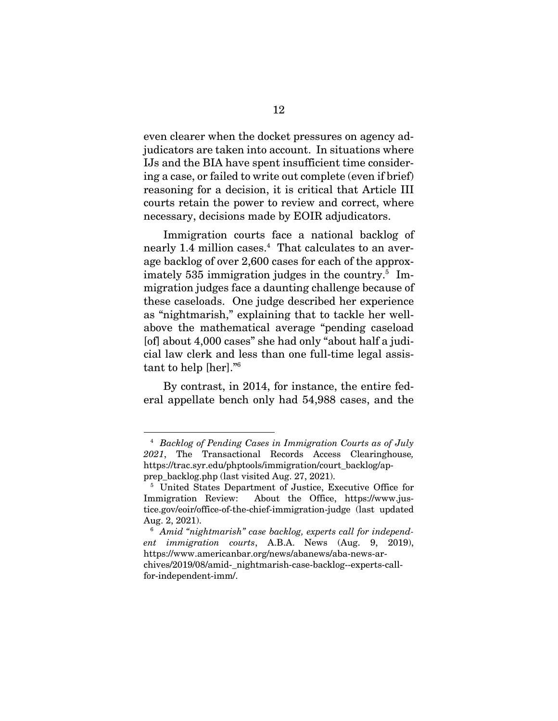even clearer when the docket pressures on agency adjudicators are taken into account. In situations where IJs and the BIA have spent insufficient time considering a case, or failed to write out complete (even if brief) reasoning for a decision, it is critical that Article III courts retain the power to review and correct, where necessary, decisions made by EOIR adjudicators.

Immigration courts face a national backlog of nearly 1.4 million cases.4 That calculates to an average backlog of over 2,600 cases for each of the approximately 535 immigration judges in the country.<sup>5</sup> Immigration judges face a daunting challenge because of these caseloads. One judge described her experience as "nightmarish," explaining that to tackle her wellabove the mathematical average "pending caseload [of] about 4,000 cases" she had only "about half a judicial law clerk and less than one full-time legal assistant to help [her]."6

By contrast, in 2014, for instance, the entire federal appellate bench only had 54,988 cases, and the

<sup>4</sup> *Backlog of Pending Cases in Immigration Courts as of July 2021*, The Transactional Records Access Clearinghouse*,*  https://trac.syr.edu/phptools/immigration/court\_backlog/apprep\_backlog.php (last visited Aug. 27, 2021).

United States Department of Justice, Executive Office for Immigration Review: About the Office, https://www.justice.gov/eoir/office-of-the-chief-immigration-judge (last updated Aug. 2, 2021).

<sup>6</sup> *Amid "nightmarish" case backlog, experts call for independent immigration courts*, A.B.A. News (Aug. 9, 2019), https://www.americanbar.org/news/abanews/aba-news-archives/2019/08/amid-\_nightmarish-case-backlog--experts-callfor-independent-imm/.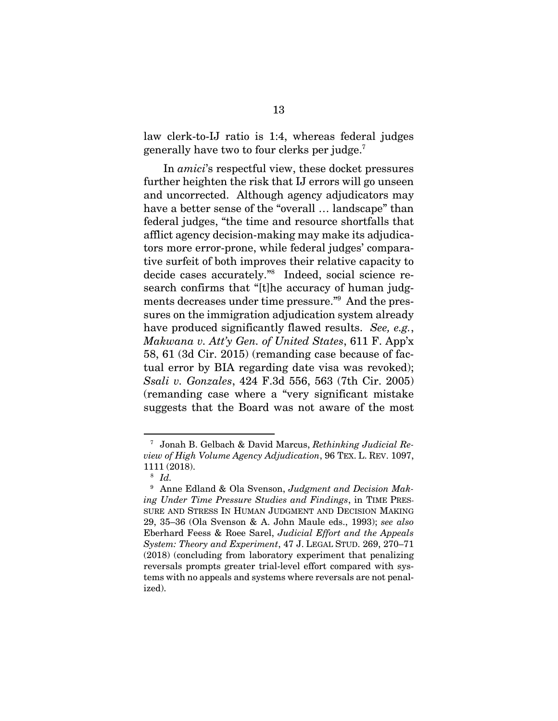law clerk-to-IJ ratio is 1:4, whereas federal judges generally have two to four clerks per judge.7

In *amici*'s respectful view, these docket pressures further heighten the risk that IJ errors will go unseen and uncorrected. Although agency adjudicators may have a better sense of the "overall … landscape" than federal judges, "the time and resource shortfalls that afflict agency decision-making may make its adjudicators more error-prone, while federal judges' comparative surfeit of both improves their relative capacity to decide cases accurately."8 Indeed, social science re search confirms that "[t]he accuracy of human judgments decreases under time pressure."9 And the pressures on the immigration adjudication system already have produced significantly flawed results. *See, e.g.*, *Makwana v. Att'y Gen. of United States*, 611 F. App'x 58, 61 (3d Cir. 2015) (remanding case because of factual error by BIA regarding date visa was revoked); *Ssali v. Gonzales*, 424 F.3d 556, 563 (7th Cir. 2005) (remanding case where a "very significant mistake suggests that the Board was not aware of the most

<sup>7</sup> Jonah B. Gelbach & David Marcus, *Rethinking Judicial Review of High Volume Agency Adjudication*, 96 TEX. L. REV. 1097, 1111 (2018).

<sup>8</sup> *Id.*

<sup>9</sup> Anne Edland & Ola Svenson, *Judgment and Decision Making Under Time Pressure Studies and Findings*, in TIME PRES-SURE AND STRESS IN HUMAN JUDGMENT AND DECISION MAKING 29, 35–36 (Ola Svenson & A. John Maule eds., 1993); *see also* Eberhard Feess & Roee Sarel, *Judicial Effort and the Appeals System: Theory and Experiment*, 47 J. LEGAL STUD. 269, 270–71 (2018) (concluding from laboratory experiment that penalizing reversals prompts greater trial-level effort compared with systems with no appeals and systems where reversals are not penalized).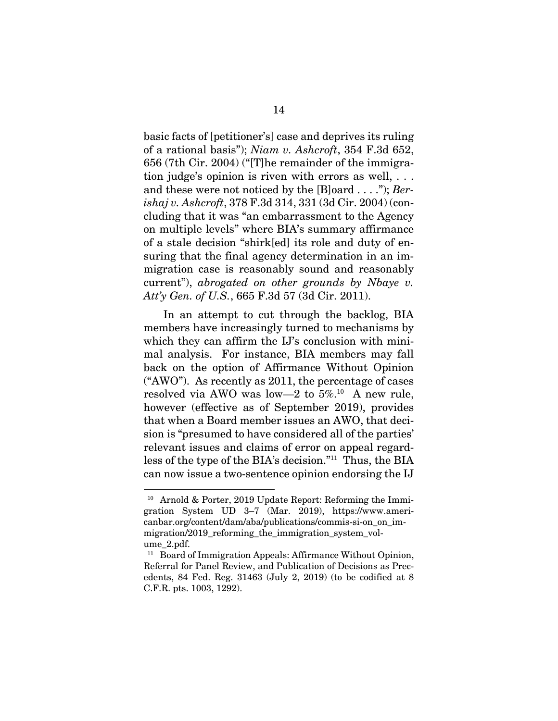basic facts of [petitioner's] case and deprives its ruling of a rational basis"); *Niam v. Ashcroft*, 354 F.3d 652, 656 (7th Cir. 2004) ("[T]he remainder of the immigration judge's opinion is riven with errors as well, . . . and these were not noticed by the [B]oard . . . ."); *Berishaj v. Ashcroft*, 378 F.3d 314, 331 (3d Cir. 2004) (concluding that it was "an embarrassment to the Agency on multiple levels" where BIA's summary affirmance of a stale decision "shirk[ed] its role and duty of ensuring that the final agency determination in an immigration case is reasonably sound and reasonably current"), *abrogated on other grounds by Nbaye v. Att'y Gen. of U.S.*, 665 F.3d 57 (3d Cir. 2011).

In an attempt to cut through the backlog, BIA members have increasingly turned to mechanisms by which they can affirm the IJ's conclusion with minimal analysis. For instance, BIA members may fall back on the option of Affirmance Without Opinion ("AWO"). As recently as 2011, the percentage of cases resolved via AWO was low—2 to  $5\%$ .<sup>10</sup> A new rule, however (effective as of September 2019), provides that when a Board member issues an AWO, that decision is "presumed to have considered all of the parties' relevant issues and claims of error on appeal regardless of the type of the BIA's decision."11 Thus, the BIA can now issue a two-sentence opinion endorsing the IJ

<sup>10</sup> Arnold & Porter, 2019 Update Report: Reforming the Immigration System UD 3–7 (Mar. 2019), https://www.americanbar.org/content/dam/aba/publications/commis-si-on\_on\_immigration/2019 reforming the immigration system volume\_2.pdf.

<sup>&</sup>lt;sup>11</sup> Board of Immigration Appeals: Affirmance Without Opinion, Referral for Panel Review, and Publication of Decisions as Precedents, 84 Fed. Reg. 31463 (July 2, 2019) (to be codified at 8 C.F.R. pts. 1003, 1292).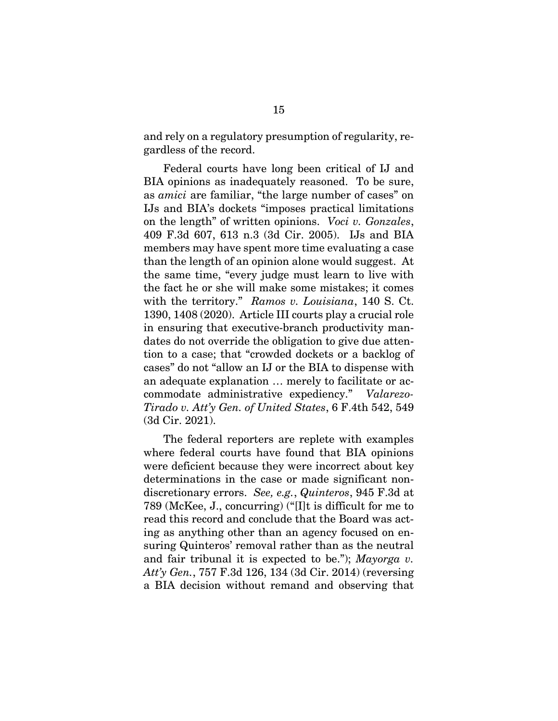and rely on a regulatory presumption of regularity, regardless of the record.

Federal courts have long been critical of IJ and BIA opinions as inadequately reasoned. To be sure, as *amici* are familiar, "the large number of cases" on IJs and BIA's dockets "imposes practical limitations on the length" of written opinions. *Voci v. Gonzales*, 409 F.3d 607, 613 n.3 (3d Cir. 2005). IJs and BIA members may have spent more time evaluating a case than the length of an opinion alone would suggest. At the same time, "every judge must learn to live with the fact he or she will make some mistakes; it comes with the territory." *Ramos v. Louisiana*, 140 S. Ct. 1390, 1408 (2020). Article III courts play a crucial role in ensuring that executive-branch productivity mandates do not override the obligation to give due attention to a case; that "crowded dockets or a backlog of cases" do not "allow an IJ or the BIA to dispense with an adequate explanation … merely to facilitate or accommodate administrative expediency." *Valarezo-Tirado v. Att'y Gen. of United States*, 6 F.4th 542, 549 (3d Cir. 2021).

The federal reporters are replete with examples where federal courts have found that BIA opinions were deficient because they were incorrect about key determinations in the case or made significant nondiscretionary errors. *See, e.g.*, *Quinteros*, 945 F.3d at 789 (McKee, J., concurring) ("[I]t is difficult for me to read this record and conclude that the Board was acting as anything other than an agency focused on ensuring Quinteros' removal rather than as the neutral and fair tribunal it is expected to be."); *Mayorga v. Att'y Gen.*, 757 F.3d 126, 134 (3d Cir. 2014) (reversing a BIA decision without remand and observing that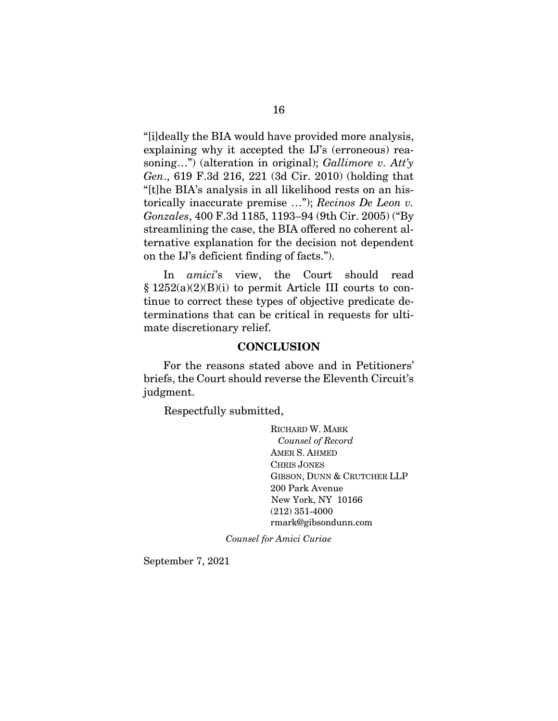"[i]deally the BIA would have provided more analysis, explaining why it accepted the IJ's (erroneous) reasoning…") (alteration in original); *Gallimore v. Att'y Gen*., 619 F.3d 216, 221 (3d Cir. 2010) (holding that "[t]he BIA's analysis in all likelihood rests on an historically inaccurate premise …"); *Recinos De Leon v. Gonzales*, 400 F.3d 1185, 1193–94 (9th Cir. 2005) ("By streamlining the case, the BIA offered no coherent alternative explanation for the decision not dependent on the IJ's deficient finding of facts.").

In *amici*'s view, the Court should read § 1252(a)(2)(B)(i) to permit Article III courts to continue to correct these types of objective predicate determinations that can be critical in requests for ultimate discretionary relief.

#### **CONCLUSION**

For the reasons stated above and in Petitioners' briefs, the Court should reverse the Eleventh Circuit's judgment.

Respectfully submitted,

RICHARD W. MARK *Counsel of Record* AMER S. AHMED CHRIS JONES GIBSON, DUNN & CRUTCHER LLP 200 Park Avenue New York, NY 10166 (212) 351-4000 rmark@gibsondunn.com

*Counsel for Amici Curiae*

September 7, 2021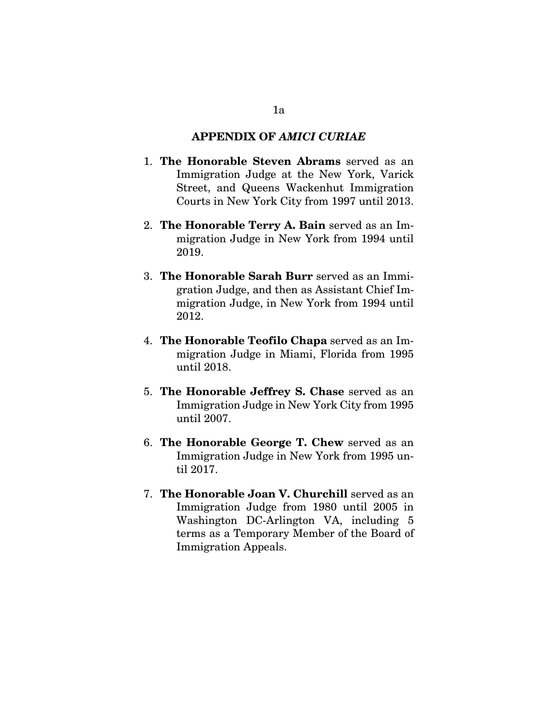### **APPENDIX OF** *AMICI CURIAE*

- 1. **The Honorable Steven Abrams** served as an Immigration Judge at the New York, Varick Street, and Queens Wackenhut Immigration Courts in New York City from 1997 until 2013.
- 2. **The Honorable Terry A. Bain** served as an Immigration Judge in New York from 1994 until 2019.
- 3. **The Honorable Sarah Burr** served as an Immigration Judge, and then as Assistant Chief Immigration Judge, in New York from 1994 until 2012.
- 4. **The Honorable Teofilo Chapa** served as an Immigration Judge in Miami, Florida from 1995 until 2018.
- 5. **The Honorable Jeffrey S. Chase** served as an Immigration Judge in New York City from 1995 until 2007.
- 6. **The Honorable George T. Chew** served as an Immigration Judge in New York from 1995 until 2017.
- 7. **The Honorable Joan V. Churchill** served as an Immigration Judge from 1980 until 2005 in Washington DC-Arlington VA, including 5 terms as a Temporary Member of the Board of Immigration Appeals.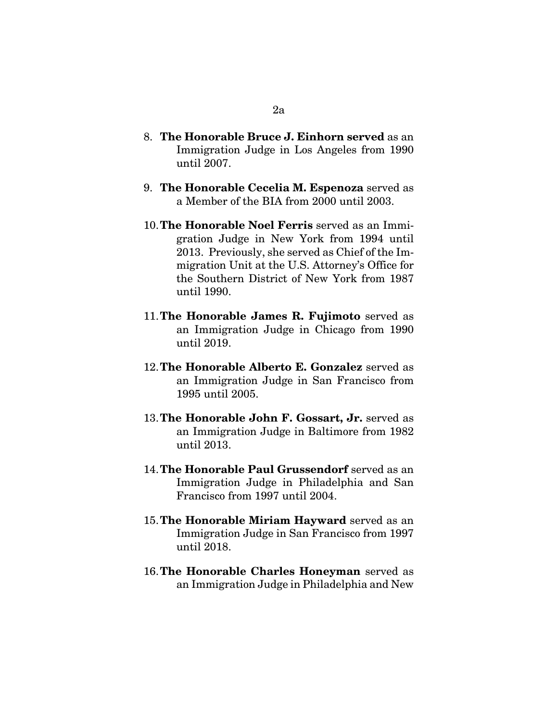- 8. **The Honorable Bruce J. Einhorn served** as an Immigration Judge in Los Angeles from 1990 until 2007.
- 9. **The Honorable Cecelia M. Espenoza** served as a Member of the BIA from 2000 until 2003.
- 10.**The Honorable Noel Ferris** served as an Immigration Judge in New York from 1994 until 2013. Previously, she served as Chief of the Immigration Unit at the U.S. Attorney's Office for the Southern District of New York from 1987 until 1990.
- 11.**The Honorable James R. Fujimoto** served as an Immigration Judge in Chicago from 1990 until 2019.
- 12.**The Honorable Alberto E. Gonzalez** served as an Immigration Judge in San Francisco from 1995 until 2005.
- 13.**The Honorable John F. Gossart, Jr.** served as an Immigration Judge in Baltimore from 1982 until 2013.
- 14.**The Honorable Paul Grussendorf** served as an Immigration Judge in Philadelphia and San Francisco from 1997 until 2004.
- 15.**The Honorable Miriam Hayward** served as an Immigration Judge in San Francisco from 1997 until 2018.
- 16.**The Honorable Charles Honeyman** served as an Immigration Judge in Philadelphia and New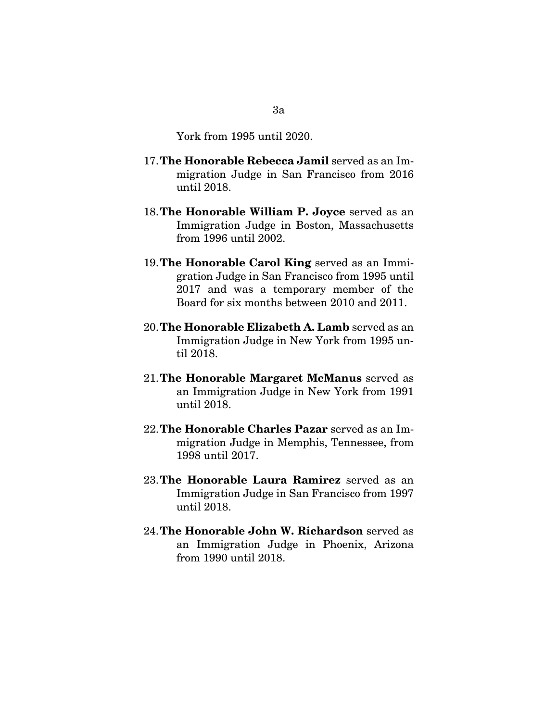York from 1995 until 2020.

- 17.**The Honorable Rebecca Jamil** served as an Immigration Judge in San Francisco from 2016 until 2018.
- 18.**The Honorable William P. Joyce** served as an Immigration Judge in Boston, Massachusetts from 1996 until 2002.
- 19.**The Honorable Carol King** served as an Immigration Judge in San Francisco from 1995 until 2017 and was a temporary member of the Board for six months between 2010 and 2011.
- 20.**The Honorable Elizabeth A. Lamb** served as an Immigration Judge in New York from 1995 until 2018.
- 21.**The Honorable Margaret McManus** served as an Immigration Judge in New York from 1991 until 2018.
- 22.**The Honorable Charles Pazar** served as an Immigration Judge in Memphis, Tennessee, from 1998 until 2017.
- 23.**The Honorable Laura Ramirez** served as an Immigration Judge in San Francisco from 1997 until 2018.
- 24.**The Honorable John W. Richardson** served as an Immigration Judge in Phoenix, Arizona from 1990 until 2018.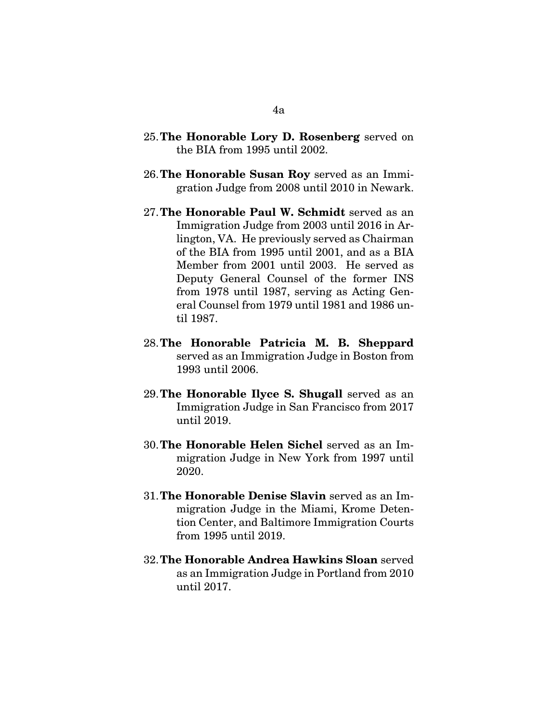- 25.**The Honorable Lory D. Rosenberg** served on the BIA from 1995 until 2002.
- 26.**The Honorable Susan Roy** served as an Immigration Judge from 2008 until 2010 in Newark.
- 27.**The Honorable Paul W. Schmidt** served as an Immigration Judge from 2003 until 2016 in Arlington, VA. He previously served as Chairman of the BIA from 1995 until 2001, and as a BIA Member from 2001 until 2003. He served as Deputy General Counsel of the former INS from 1978 until 1987, serving as Acting General Counsel from 1979 until 1981 and 1986 until 1987.
- 28.**The Honorable Patricia M. B. Sheppard** served as an Immigration Judge in Boston from 1993 until 2006.
- 29.**The Honorable Ilyce S. Shugall** served as an Immigration Judge in San Francisco from 2017 until 2019.
- 30.**The Honorable Helen Sichel** served as an Immigration Judge in New York from 1997 until 2020.
- 31.**The Honorable Denise Slavin** served as an Immigration Judge in the Miami, Krome Detention Center, and Baltimore Immigration Courts from 1995 until 2019.
- 32.**The Honorable Andrea Hawkins Sloan** served as an Immigration Judge in Portland from 2010 until 2017.